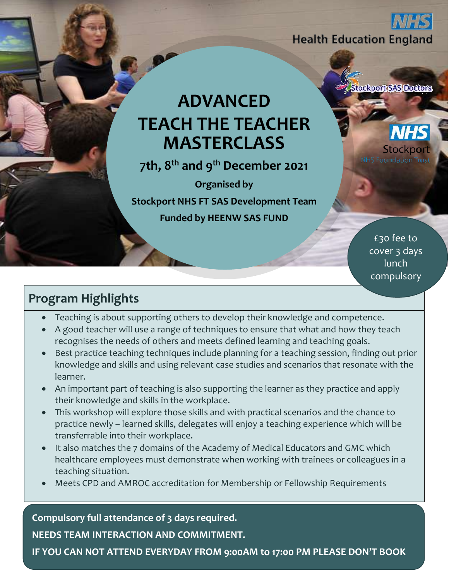**Health Education England** 

# **ADVANCED TEACH THE TEACHER MASTERCLASS**

**7th, 8th and 9th December 2021**

**Organised by** 

**Stockport NHS FT SAS Development Team Funded by HEENW SAS FUND**

> £30 fee to cover 3 days lunch compulsory

**Stockport SAS Doctors** 

Stockp

**NHS Foundation** 

# **Program Highlights**

- Teaching is about supporting others to develop their knowledge and competence.
- A good teacher will use a range of techniques to ensure that what and how they teach recognises the needs of others and meets defined learning and teaching goals.
- Best practice teaching techniques include planning for a teaching session, finding out prior knowledge and skills and using relevant case studies and scenarios that resonate with the learner.
- An important part of teaching is also supporting the learner as they practice and apply their knowledge and skills in the workplace.
- This workshop will explore those skills and with practical scenarios and the chance to practice newly – learned skills, delegates will enjoy a teaching experience which will be transferrable into their workplace.
- It also matches the 7 domains of the Academy of Medical Educators and GMC which healthcare employees must demonstrate when working with trainees or colleagues in a teaching situation.
- Meets CPD and AMROC accreditation for Membership or Fellowship Requirements

**Compulsory full attendance of 3 days required. NEEDS TEAM INTERACTION AND COMMITMENT.**

**IF YOU CAN NOT ATTEND EVERYDAY FROM 9:00AM to 17:00 PM PLEASE DON'T BOOK**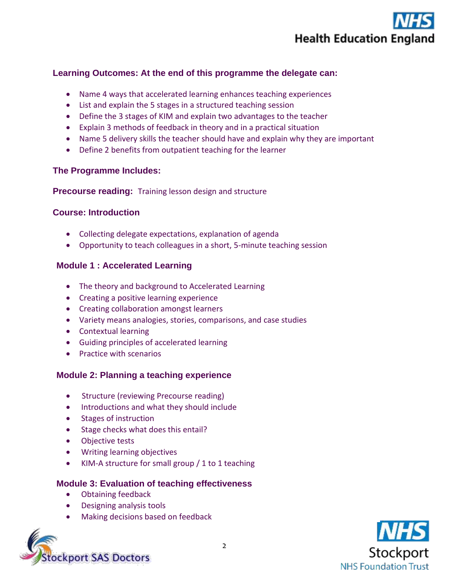

## **Learning Outcomes: At the end of this programme the delegate can:**

- Name 4 ways that accelerated learning enhances teaching experiences
- List and explain the 5 stages in a structured teaching session
- Define the 3 stages of KIM and explain two advantages to the teacher
- Explain 3 methods of feedback in theory and in a practical situation
- Name 5 delivery skills the teacher should have and explain why they are important
- Define 2 benefits from outpatient teaching for the learner

#### **The Programme Includes:**

**Precourse reading:** Training lesson design and structure

#### **Course: Introduction**

- Collecting delegate expectations, explanation of agenda
- Opportunity to teach colleagues in a short, 5-minute teaching session

#### **Module 1 : Accelerated Learning**

- The theory and background to Accelerated Learning
- Creating a positive learning experience
- Creating collaboration amongst learners
- Variety means analogies, stories, comparisons, and case studies
- Contextual learning
- Guiding principles of accelerated learning
- **•** Practice with scenarios

#### **Module 2: Planning a teaching experience**

- Structure (reviewing Precourse reading)
- Introductions and what they should include
- Stages of instruction
- Stage checks what does this entail?
- Objective tests
- Writing learning objectives
- KIM-A structure for small group / 1 to 1 teaching

#### **Module 3: Evaluation of teaching effectiveness**

- Obtaining feedback
- Designing analysis tools
- Making decisions based on feedback